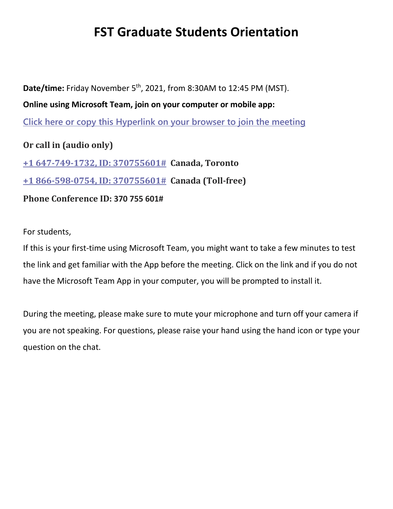## **FST Graduate Students Orientation**

Date/time: Friday November 5<sup>th</sup>, 2021, from 8:30AM to 12:45 PM (MST). **Online using Microsoft Team, join on your computer or mobile app: Click here or copy this [Hyperlink](https://can01.safelinks.protection.outlook.com/ap/t-59584e83/?url=https%3A%2F%2Fteams.microsoft.com%2Fl%2Fmeetup-join%2F19%253ameeting_YmM0NWI2MzEtYjhlNC00NjU1LThhNjgtMWFmOThhYjM3MWMw%2540thread.v2%2F0%3Fcontext%3D%257b%2522Tid%2522%253a%2522a893bdd2-f460-4252-aa34-4d057436a09d%2522%252c%2522Oid%2522%253a%2522a495f5a3-3bac-4e57-9726-1a15a5d7386e%2522%257d&data=04%7C01%7Clarbie%40athabascau.ca%7Ca2970f9a6bb54d8acf3608d992500c9c%7Ca893bdd2f4604252aa344d057436a09d%7C0%7C0%7C637701694777538545%7CUnknown%7CTWFpbGZsb3d8eyJWIjoiMC4wLjAwMDAiLCJQIjoiV2luMzIiLCJBTiI6Ik1haWwiLCJXVCI6Mn0%3D%7C1000&sdata=DjJrJUM8euIiFAu5d15FFJ6B3DIyc68DKO23lA%2F95s8%3D&reserved=0) on your browser to join the meeting Or call in (audio only) +1 [647-749-1732,](tel:+16477491732,,370755601) ID: 370755601# Canada, Toronto**

**+1 [866-598-0754,](tel:8665980754,,370755601) ID: 370755601# Canada (Toll-free)**

**Phone Conference ID: 370 755 601#**

## For students,

If this is your first-time using Microsoft Team, you might want to take a few minutes to test the link and get familiar with the App before the meeting. Click on the link and if you do not have the Microsoft Team App in your computer, you will be prompted to install it.

During the meeting, please make sure to mute your microphone and turn off your camera if you are not speaking. For questions, please raise your hand using the hand icon or type your question on the chat.